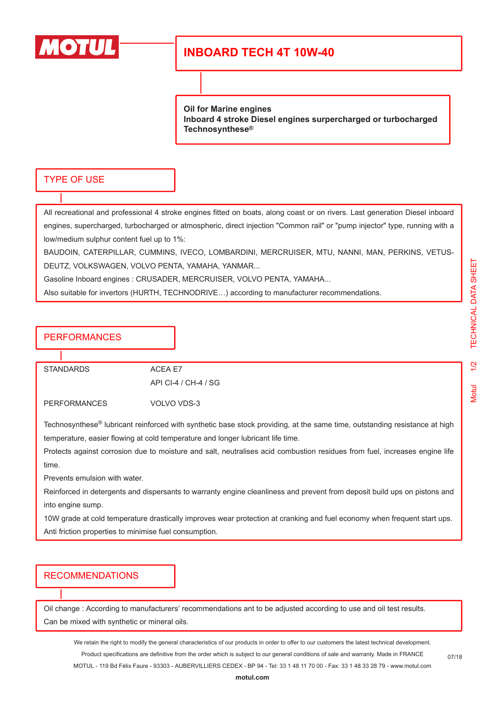

# **INBOARD TECH 4T 10W-40**

**Oil for Marine engines Inboard 4 stroke Diesel engines surpercharged or turbocharged Technosynthese®**

#### TYPE OF USE

All recreational and professional 4 stroke engines fitted on boats, along coast or on rivers. Last generation Diesel inboard engines, supercharged, turbocharged or atmospheric, direct injection "Common rail" or "pump injector" type, running with a low/medium sulphur content fuel up to 1%:

BAUDOIN, CATERPILLAR, CUMMINS, IVECO, LOMBARDINI, MERCRUISER, MTU, NANNI, MAN, PERKINS, VETUS-DEUTZ, VOLKSWAGEN, VOLVO PENTA, YAMAHA, YANMAR...

Gasoline Inboard engines : CRUSADER, MERCRUISER, VOLVO PENTA, YAMAHA...

Also suitable for invertors (HURTH, TECHNODRIVE…) according to manufacturer recommendations.

### **PERFORMANCES**

STANDARDS ACEA E7

API CI-4 / CH-4 / SG

PERFORMANCES VOLVO VDS-3

Technosynthese® lubricant reinforced with synthetic base stock providing, at the same time, outstanding resistance at high temperature, easier flowing at cold temperature and longer lubricant life time.

Protects against corrosion due to moisture and salt, neutralises acid combustion residues from fuel, increases engine life time.

Prevents emulsion with water.

Reinforced in detergents and dispersants to warranty engine cleanliness and prevent from deposit build ups on pistons and into engine sump.

10W grade at cold temperature drastically improves wear protection at cranking and fuel economy when frequent start ups. Anti friction properties to minimise fuel consumption.

#### RECOMMENDATIONS

Oil change : According to manufacturers' recommendations ant to be adjusted according to use and oil test results. Can be mixed with synthetic or mineral oils.

We retain the right to modify the general characteristics of our products in order to offer to our customers the latest technical development. Product specifications are definitive from the order which is subject to our general conditions of sale and warranty. Made in FRANCE MOTUL - 119 Bd Félix Faure - 93303 - AUBERVILLIERS CEDEX - BP 94 - Tel: 33 1 48 11 70 00 - Fax: 33 1 48 33 28 79 - www.motul.com